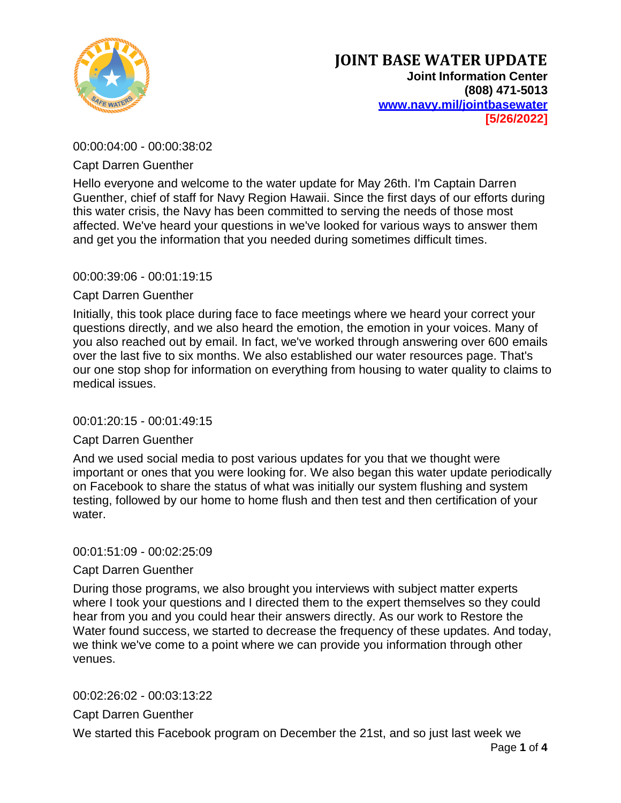

00:00:04:00 - 00:00:38:02

Capt Darren Guenther

Hello everyone and welcome to the water update for May 26th. I'm Captain Darren Guenther, chief of staff for Navy Region Hawaii. Since the first days of our efforts during this water crisis, the Navy has been committed to serving the needs of those most affected. We've heard your questions in we've looked for various ways to answer them and get you the information that you needed during sometimes difficult times.

## 00:00:39:06 - 00:01:19:15

## Capt Darren Guenther

Initially, this took place during face to face meetings where we heard your correct your questions directly, and we also heard the emotion, the emotion in your voices. Many of you also reached out by email. In fact, we've worked through answering over 600 emails over the last five to six months. We also established our water resources page. That's our one stop shop for information on everything from housing to water quality to claims to medical issues.

## 00:01:20:15 - 00:01:49:15

## Capt Darren Guenther

And we used social media to post various updates for you that we thought were important or ones that you were looking for. We also began this water update periodically on Facebook to share the status of what was initially our system flushing and system testing, followed by our home to home flush and then test and then certification of your water.

## 00:01:51:09 - 00:02:25:09

## Capt Darren Guenther

During those programs, we also brought you interviews with subject matter experts where I took your questions and I directed them to the expert themselves so they could hear from you and you could hear their answers directly. As our work to Restore the Water found success, we started to decrease the frequency of these updates. And today, we think we've come to a point where we can provide you information through other venues.

00:02:26:02 - 00:03:13:22

Capt Darren Guenther

We started this Facebook program on December the 21st, and so just last week we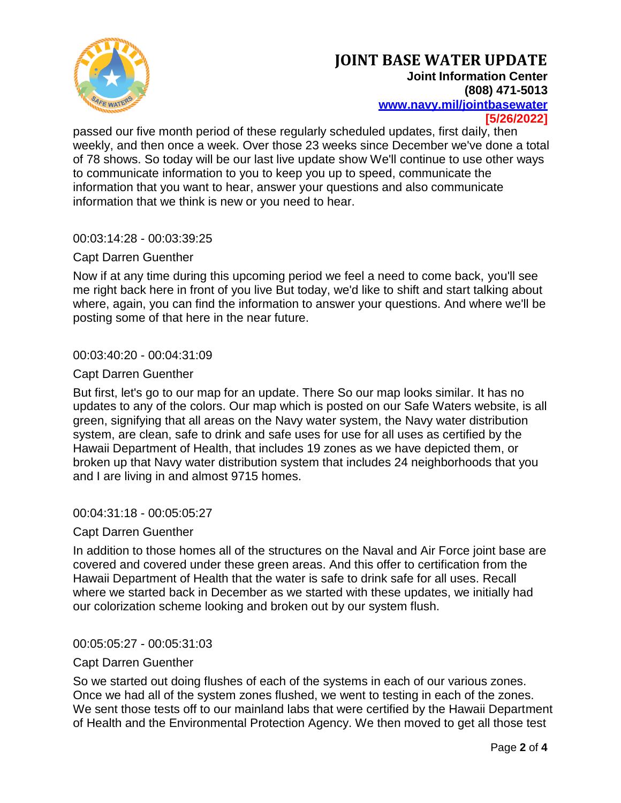

passed our five month period of these regularly scheduled updates, first daily, then weekly, and then once a week. Over those 23 weeks since December we've done a total of 78 shows. So today will be our last live update show We'll continue to use other ways to communicate information to you to keep you up to speed, communicate the information that you want to hear, answer your questions and also communicate information that we think is new or you need to hear.

## 00:03:14:28 - 00:03:39:25

## Capt Darren Guenther

Now if at any time during this upcoming period we feel a need to come back, you'll see me right back here in front of you live But today, we'd like to shift and start talking about where, again, you can find the information to answer your questions. And where we'll be posting some of that here in the near future.

### 00:03:40:20 - 00:04:31:09

## Capt Darren Guenther

But first, let's go to our map for an update. There So our map looks similar. It has no updates to any of the colors. Our map which is posted on our Safe Waters website, is all green, signifying that all areas on the Navy water system, the Navy water distribution system, are clean, safe to drink and safe uses for use for all uses as certified by the Hawaii Department of Health, that includes 19 zones as we have depicted them, or broken up that Navy water distribution system that includes 24 neighborhoods that you and I are living in and almost 9715 homes.

### 00:04:31:18 - 00:05:05:27

### Capt Darren Guenther

In addition to those homes all of the structures on the Naval and Air Force joint base are covered and covered under these green areas. And this offer to certification from the Hawaii Department of Health that the water is safe to drink safe for all uses. Recall where we started back in December as we started with these updates, we initially had our colorization scheme looking and broken out by our system flush.

### 00:05:05:27 - 00:05:31:03

### Capt Darren Guenther

So we started out doing flushes of each of the systems in each of our various zones. Once we had all of the system zones flushed, we went to testing in each of the zones. We sent those tests off to our mainland labs that were certified by the Hawaii Department of Health and the Environmental Protection Agency. We then moved to get all those test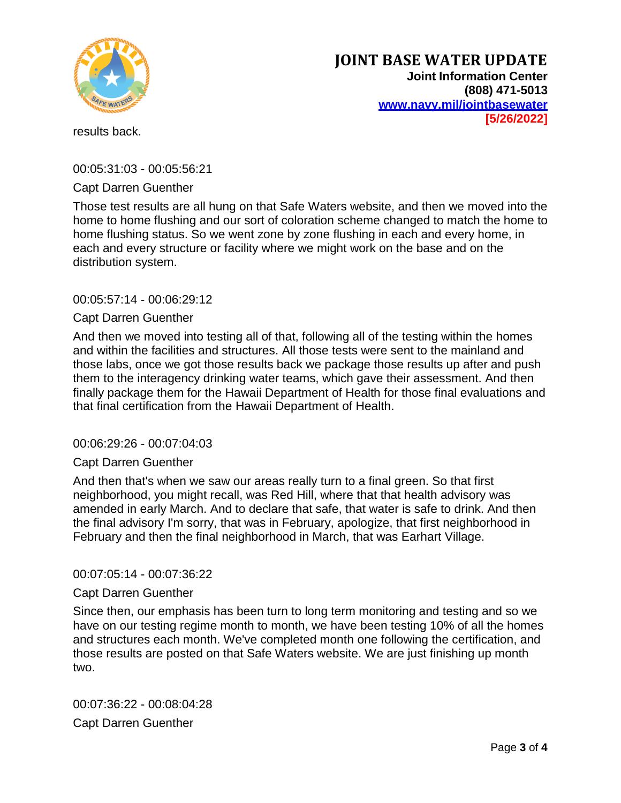

results back.

00:05:31:03 - 00:05:56:21

## Capt Darren Guenther

Those test results are all hung on that Safe Waters website, and then we moved into the home to home flushing and our sort of coloration scheme changed to match the home to home flushing status. So we went zone by zone flushing in each and every home, in each and every structure or facility where we might work on the base and on the distribution system.

## 00:05:57:14 - 00:06:29:12

## Capt Darren Guenther

And then we moved into testing all of that, following all of the testing within the homes and within the facilities and structures. All those tests were sent to the mainland and those labs, once we got those results back we package those results up after and push them to the interagency drinking water teams, which gave their assessment. And then finally package them for the Hawaii Department of Health for those final evaluations and that final certification from the Hawaii Department of Health.

### 00:06:29:26 - 00:07:04:03

### Capt Darren Guenther

And then that's when we saw our areas really turn to a final green. So that first neighborhood, you might recall, was Red Hill, where that that health advisory was amended in early March. And to declare that safe, that water is safe to drink. And then the final advisory I'm sorry, that was in February, apologize, that first neighborhood in February and then the final neighborhood in March, that was Earhart Village.

### 00:07:05:14 - 00:07:36:22

### Capt Darren Guenther

Since then, our emphasis has been turn to long term monitoring and testing and so we have on our testing regime month to month, we have been testing 10% of all the homes and structures each month. We've completed month one following the certification, and those results are posted on that Safe Waters website. We are just finishing up month two.

00:07:36:22 - 00:08:04:28 Capt Darren Guenther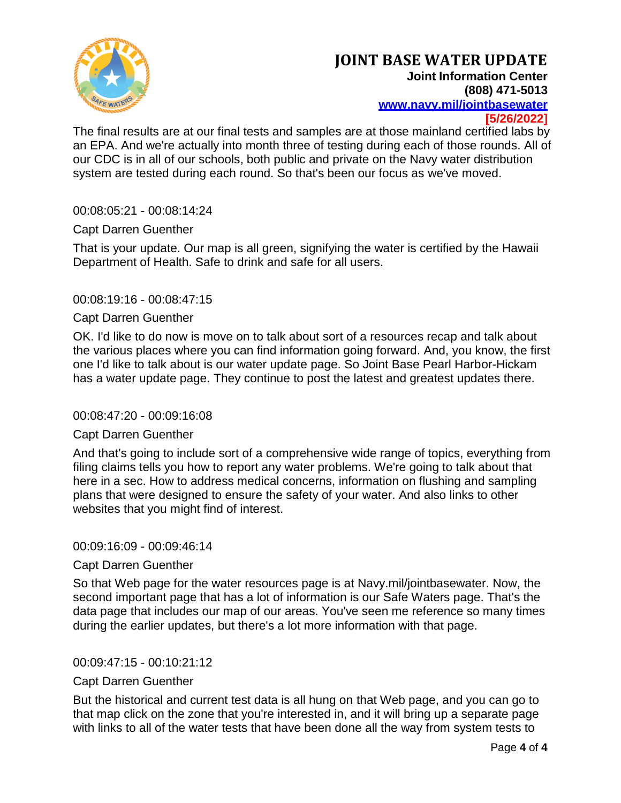

The final results are at our final tests and samples are at those mainland certified labs by an EPA. And we're actually into month three of testing during each of those rounds. All of our CDC is in all of our schools, both public and private on the Navy water distribution system are tested during each round. So that's been our focus as we've moved.

00:08:05:21 - 00:08:14:24

## Capt Darren Guenther

That is your update. Our map is all green, signifying the water is certified by the Hawaii Department of Health. Safe to drink and safe for all users.

## 00:08:19:16 - 00:08:47:15

### Capt Darren Guenther

OK. I'd like to do now is move on to talk about sort of a resources recap and talk about the various places where you can find information going forward. And, you know, the first one I'd like to talk about is our water update page. So Joint Base Pearl Harbor-Hickam has a water update page. They continue to post the latest and greatest updates there.

### 00:08:47:20 - 00:09:16:08

### Capt Darren Guenther

And that's going to include sort of a comprehensive wide range of topics, everything from filing claims tells you how to report any water problems. We're going to talk about that here in a sec. How to address medical concerns, information on flushing and sampling plans that were designed to ensure the safety of your water. And also links to other websites that you might find of interest.

### 00:09:16:09 - 00:09:46:14

### Capt Darren Guenther

So that Web page for the water resources page is at Navy.mil/jointbasewater. Now, the second important page that has a lot of information is our Safe Waters page. That's the data page that includes our map of our areas. You've seen me reference so many times during the earlier updates, but there's a lot more information with that page.

### 00:09:47:15 - 00:10:21:12

### Capt Darren Guenther

But the historical and current test data is all hung on that Web page, and you can go to that map click on the zone that you're interested in, and it will bring up a separate page with links to all of the water tests that have been done all the way from system tests to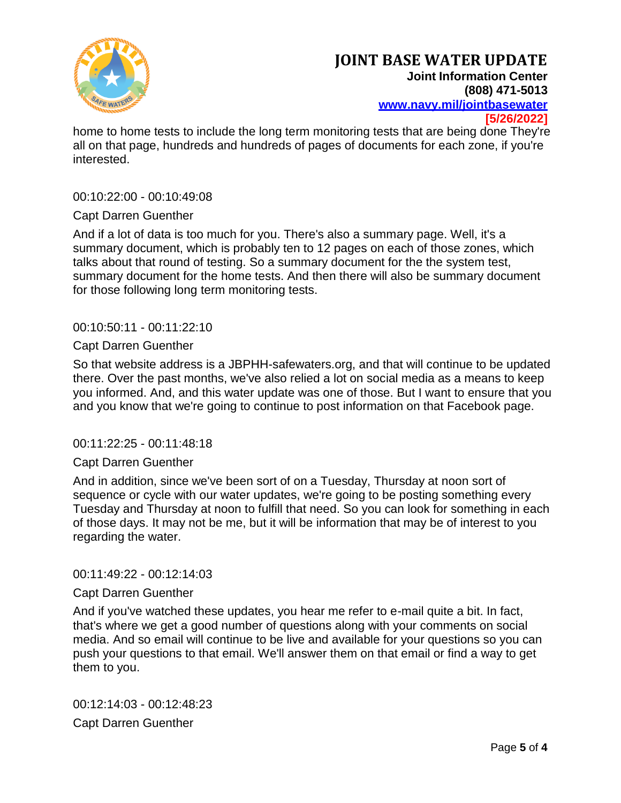

home to home tests to include the long term monitoring tests that are being done They're all on that page, hundreds and hundreds of pages of documents for each zone, if you're interested.

### 00:10:22:00 - 00:10:49:08

### Capt Darren Guenther

And if a lot of data is too much for you. There's also a summary page. Well, it's a summary document, which is probably ten to 12 pages on each of those zones, which talks about that round of testing. So a summary document for the the system test, summary document for the home tests. And then there will also be summary document for those following long term monitoring tests.

### 00:10:50:11 - 00:11:22:10

### Capt Darren Guenther

So that website address is a JBPHH-safewaters.org, and that will continue to be updated there. Over the past months, we've also relied a lot on social media as a means to keep you informed. And, and this water update was one of those. But I want to ensure that you and you know that we're going to continue to post information on that Facebook page.

#### 00:11:22:25 - 00:11:48:18

### Capt Darren Guenther

And in addition, since we've been sort of on a Tuesday, Thursday at noon sort of sequence or cycle with our water updates, we're going to be posting something every Tuesday and Thursday at noon to fulfill that need. So you can look for something in each of those days. It may not be me, but it will be information that may be of interest to you regarding the water.

#### 00:11:49:22 - 00:12:14:03

### Capt Darren Guenther

And if you've watched these updates, you hear me refer to e-mail quite a bit. In fact, that's where we get a good number of questions along with your comments on social media. And so email will continue to be live and available for your questions so you can push your questions to that email. We'll answer them on that email or find a way to get them to you.

00:12:14:03 - 00:12:48:23 Capt Darren Guenther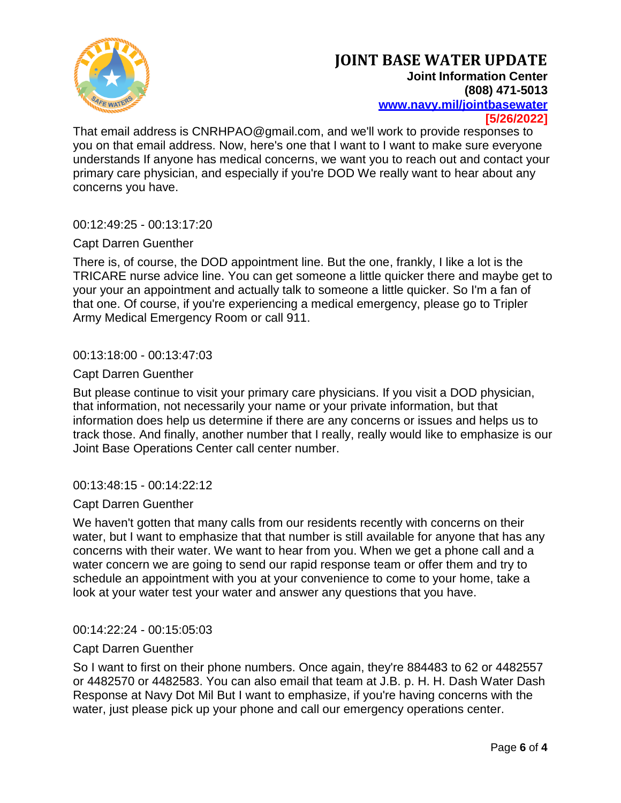

That email address is CNRHPAO@gmail.com, and we'll work to provide responses to you on that email address. Now, here's one that I want to I want to make sure everyone understands If anyone has medical concerns, we want you to reach out and contact your primary care physician, and especially if you're DOD We really want to hear about any concerns you have.

00:12:49:25 - 00:13:17:20

## Capt Darren Guenther

There is, of course, the DOD appointment line. But the one, frankly, I like a lot is the TRICARE nurse advice line. You can get someone a little quicker there and maybe get to your your an appointment and actually talk to someone a little quicker. So I'm a fan of that one. Of course, if you're experiencing a medical emergency, please go to Tripler Army Medical Emergency Room or call 911.

## 00:13:18:00 - 00:13:47:03

## Capt Darren Guenther

But please continue to visit your primary care physicians. If you visit a DOD physician, that information, not necessarily your name or your private information, but that information does help us determine if there are any concerns or issues and helps us to track those. And finally, another number that I really, really would like to emphasize is our Joint Base Operations Center call center number.

### 00:13:48:15 - 00:14:22:12

### Capt Darren Guenther

We haven't gotten that many calls from our residents recently with concerns on their water, but I want to emphasize that that number is still available for anyone that has any concerns with their water. We want to hear from you. When we get a phone call and a water concern we are going to send our rapid response team or offer them and try to schedule an appointment with you at your convenience to come to your home, take a look at your water test your water and answer any questions that you have.

### 00:14:22:24 - 00:15:05:03

### Capt Darren Guenther

So I want to first on their phone numbers. Once again, they're 884483 to 62 or 4482557 or 4482570 or 4482583. You can also email that team at J.B. p. H. H. Dash Water Dash Response at Navy Dot Mil But I want to emphasize, if you're having concerns with the water, just please pick up your phone and call our emergency operations center.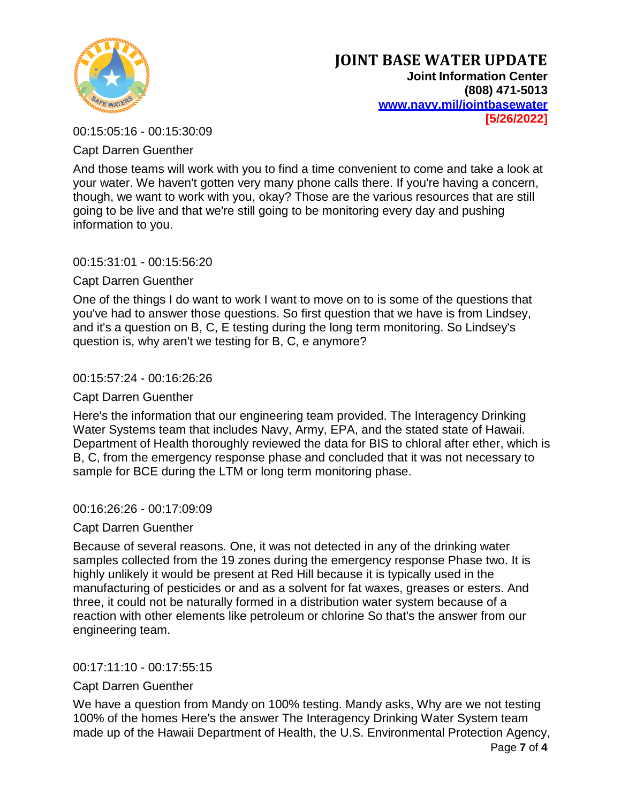

00:15:05:16 - 00:15:30:09

Capt Darren Guenther

And those teams will work with you to find a time convenient to come and take a look at your water. We haven't gotten very many phone calls there. If you're having a concern, though, we want to work with you, okay? Those are the various resources that are still going to be live and that we're still going to be monitoring every day and pushing information to you.

00:15:31:01 - 00:15:56:20

Capt Darren Guenther

One of the things I do want to work I want to move on to is some of the questions that you've had to answer those questions. So first question that we have is from Lindsey, and it's a question on B, C, E testing during the long term monitoring. So Lindsey's question is, why aren't we testing for B, C, e anymore?

# 00:15:57:24 - 00:16:26:26

## Capt Darren Guenther

Here's the information that our engineering team provided. The Interagency Drinking Water Systems team that includes Navy, Army, EPA, and the stated state of Hawaii. Department of Health thoroughly reviewed the data for BIS to chloral after ether, which is B, C, from the emergency response phase and concluded that it was not necessary to sample for BCE during the LTM or long term monitoring phase.

00:16:26:26 - 00:17:09:09

Capt Darren Guenther

Because of several reasons. One, it was not detected in any of the drinking water samples collected from the 19 zones during the emergency response Phase two. It is highly unlikely it would be present at Red Hill because it is typically used in the manufacturing of pesticides or and as a solvent for fat waxes, greases or esters. And three, it could not be naturally formed in a distribution water system because of a reaction with other elements like petroleum or chlorine So that's the answer from our engineering team.

00:17:11:10 - 00:17:55:15

# Capt Darren Guenther

We have a question from Mandy on 100% testing. Mandy asks, Why are we not testing 100% of the homes Here's the answer The Interagency Drinking Water System team made up of the Hawaii Department of Health, the U.S. Environmental Protection Agency,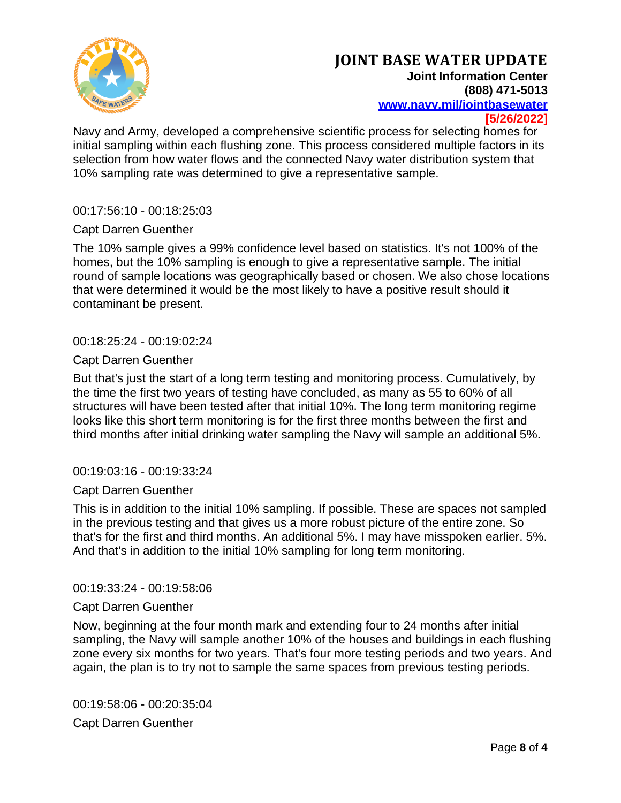

Navy and Army, developed a comprehensive scientific process for selecting homes for initial sampling within each flushing zone. This process considered multiple factors in its selection from how water flows and the connected Navy water distribution system that 10% sampling rate was determined to give a representative sample.

00:17:56:10 - 00:18:25:03

## Capt Darren Guenther

The 10% sample gives a 99% confidence level based on statistics. It's not 100% of the homes, but the 10% sampling is enough to give a representative sample. The initial round of sample locations was geographically based or chosen. We also chose locations that were determined it would be the most likely to have a positive result should it contaminant be present.

00:18:25:24 - 00:19:02:24

### Capt Darren Guenther

But that's just the start of a long term testing and monitoring process. Cumulatively, by the time the first two years of testing have concluded, as many as 55 to 60% of all structures will have been tested after that initial 10%. The long term monitoring regime looks like this short term monitoring is for the first three months between the first and third months after initial drinking water sampling the Navy will sample an additional 5%.

### 00:19:03:16 - 00:19:33:24

### Capt Darren Guenther

This is in addition to the initial 10% sampling. If possible. These are spaces not sampled in the previous testing and that gives us a more robust picture of the entire zone. So that's for the first and third months. An additional 5%. I may have misspoken earlier. 5%. And that's in addition to the initial 10% sampling for long term monitoring.

### 00:19:33:24 - 00:19:58:06

### Capt Darren Guenther

Now, beginning at the four month mark and extending four to 24 months after initial sampling, the Navy will sample another 10% of the houses and buildings in each flushing zone every six months for two years. That's four more testing periods and two years. And again, the plan is to try not to sample the same spaces from previous testing periods.

00:19:58:06 - 00:20:35:04 Capt Darren Guenther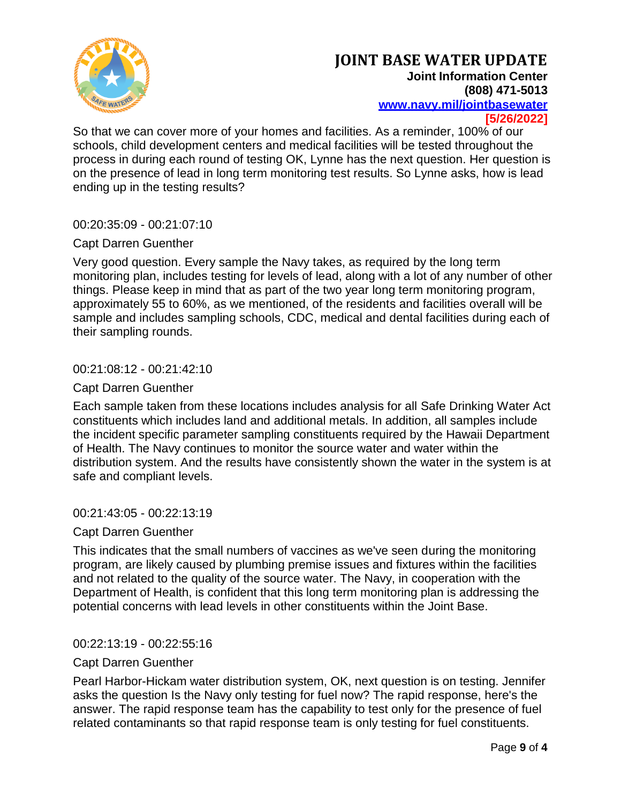

So that we can cover more of your homes and facilities. As a reminder, 100% of our schools, child development centers and medical facilities will be tested throughout the process in during each round of testing OK, Lynne has the next question. Her question is on the presence of lead in long term monitoring test results. So Lynne asks, how is lead ending up in the testing results?

00:20:35:09 - 00:21:07:10

## Capt Darren Guenther

Very good question. Every sample the Navy takes, as required by the long term monitoring plan, includes testing for levels of lead, along with a lot of any number of other things. Please keep in mind that as part of the two year long term monitoring program, approximately 55 to 60%, as we mentioned, of the residents and facilities overall will be sample and includes sampling schools, CDC, medical and dental facilities during each of their sampling rounds.

## 00:21:08:12 - 00:21:42:10

## Capt Darren Guenther

Each sample taken from these locations includes analysis for all Safe Drinking Water Act constituents which includes land and additional metals. In addition, all samples include the incident specific parameter sampling constituents required by the Hawaii Department of Health. The Navy continues to monitor the source water and water within the distribution system. And the results have consistently shown the water in the system is at safe and compliant levels.

### 00:21:43:05 - 00:22:13:19

### Capt Darren Guenther

This indicates that the small numbers of vaccines as we've seen during the monitoring program, are likely caused by plumbing premise issues and fixtures within the facilities and not related to the quality of the source water. The Navy, in cooperation with the Department of Health, is confident that this long term monitoring plan is addressing the potential concerns with lead levels in other constituents within the Joint Base.

### 00:22:13:19 - 00:22:55:16

### Capt Darren Guenther

Pearl Harbor-Hickam water distribution system, OK, next question is on testing. Jennifer asks the question Is the Navy only testing for fuel now? The rapid response, here's the answer. The rapid response team has the capability to test only for the presence of fuel related contaminants so that rapid response team is only testing for fuel constituents.